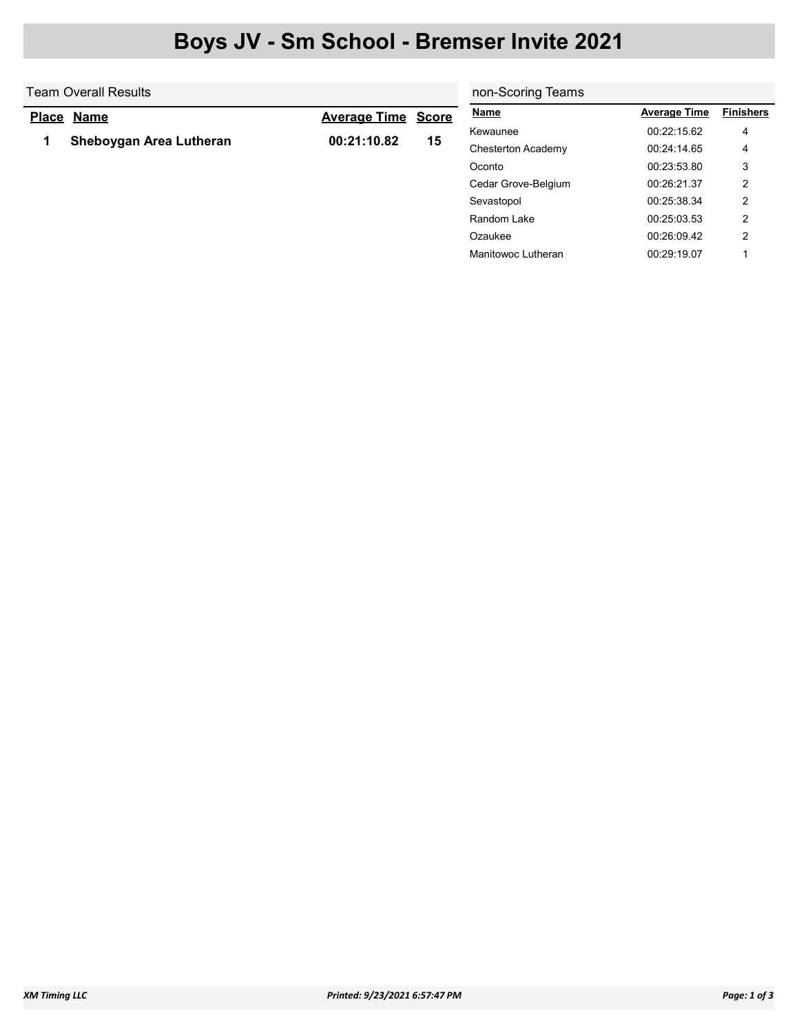## Boys JV - Sm School - Bremser Invite 2021

| Team Overall Results |                         |                           |    | non-Scoring Teams   |                     |                  |  |
|----------------------|-------------------------|---------------------------|----|---------------------|---------------------|------------------|--|
| <b>Place</b>         | <b>Name</b>             | <b>Average Time Score</b> |    | <b>Name</b>         | <b>Average Time</b> | <b>Finishers</b> |  |
|                      |                         |                           | 15 | Kewaunee            | 00:22:15.62         | 4                |  |
|                      | Sheboygan Area Lutheran | 00:21:10.82               |    | Chesterton Academy  | 00:24:14.65         | 4                |  |
|                      |                         |                           |    | Oconto              | 00:23:53.80         | 3                |  |
|                      |                         |                           |    | Cedar Grove-Belgium | 00:26:21.37         | 2                |  |
|                      |                         |                           |    | Sevastopol          | 00:25:38.34         | 2                |  |
|                      |                         |                           |    | Random Lake         | 00:25:03.53         | 2                |  |
|                      |                         |                           |    | Ozaukee             | 00:26:09.42         | າ                |  |

Manitowoc Lutheran 00:29:19.07 1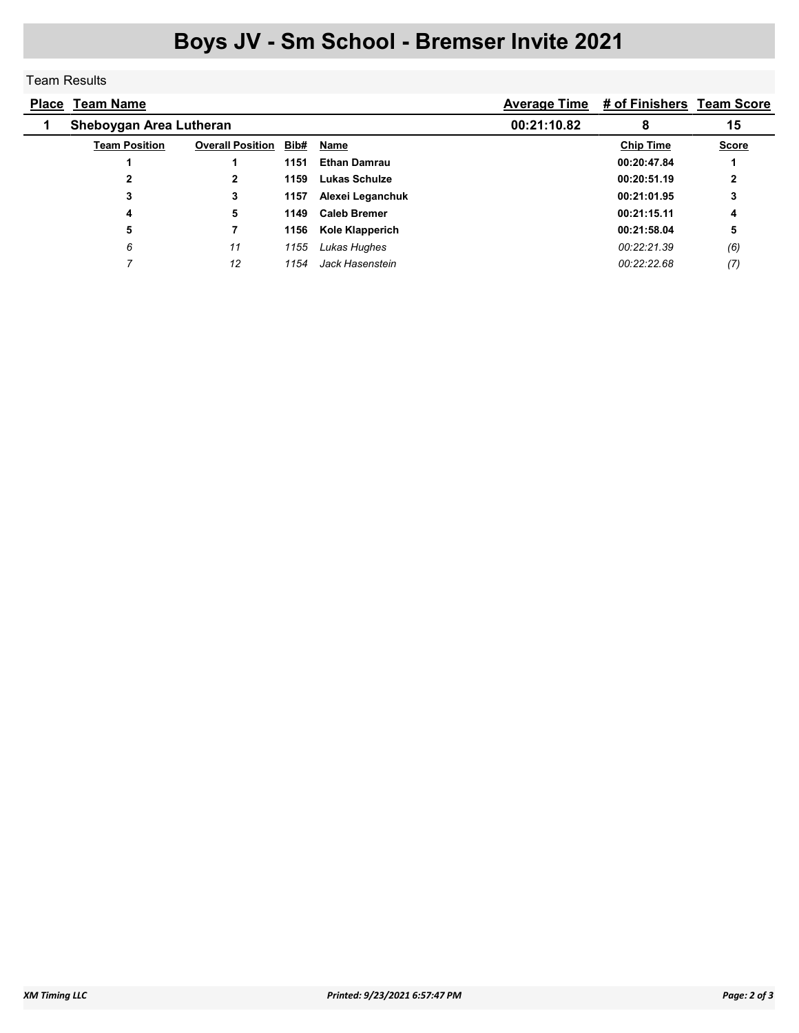## Boys JV - Sm School - Bremser Invite 2021

## Team Results

| <b>Place</b> | <u>Team Name</u>        |                         |      |                     |   | Average Time # of Finishers Team Score |              |
|--------------|-------------------------|-------------------------|------|---------------------|---|----------------------------------------|--------------|
|              | Sheboygan Area Lutheran |                         |      | 00:21:10.82         | 8 | 15                                     |              |
|              | <b>Team Position</b>    | <b>Overall Position</b> | Bib# | Name                |   | <b>Chip Time</b>                       | <b>Score</b> |
|              |                         |                         | 1151 | <b>Ethan Damrau</b> |   | 00:20:47.84                            |              |
|              | 2                       |                         | 1159 | Lukas Schulze       |   | 00:20:51.19                            | 2            |
|              | 3                       | 3                       | 1157 | Alexei Leganchuk    |   | 00:21:01.95                            | 3            |
|              | 4                       | 5                       | 1149 | <b>Caleb Bremer</b> |   | 00:21:15.11                            | 4            |
|              | 5                       |                         | 1156 | Kole Klapperich     |   | 00:21:58.04                            | 5            |
|              | 6                       | 11                      | 1155 | Lukas Hughes        |   | 00:22:21.39                            | (6)          |
|              |                         | 12                      | 1154 | Jack Hasenstein     |   | 00:22:22.68                            | (7)          |